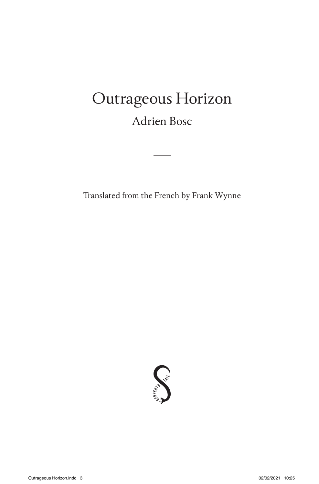## Outrageous Horizon Adrien Bosc

Translated from the French by Frank Wynne

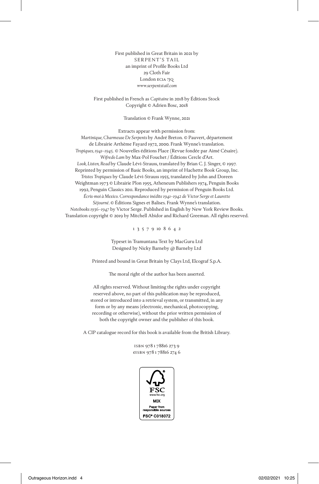First published in Great Britain in 2021 by SERPENT'S TAIL an imprint of Profile Books Ltd 29 Cloth Fair London ec1a 7jq *www.serpentstail.com*

First published in French as *Capitaine* in 2018 by Éditions Stock Copyright © Adrien Bosc, 2018

Translation © Frank Wynne, 2021

Extracts appear with permission from: *Martinique, Charmeuse De Serpents* by André Breton. © Pauvert, département de Librairie Arthème Fayard 1972, 2000. Frank Wynne's translation. *Tropiques, 1941–1945.* © Nouvelles éditions Place (Revue fondée par Aimé Césaire). *Wifredo Lam* by Max-Pol Fouchet / Éditions Cercle d'Art. *Look, Listen, Read* by Claude Lévi-Strauss, translated by Brian C. J. Singer, © 1997. Reprinted by permission of Basic Books, an imprint of Hachette Book Group, Inc. *Tristes Tropiques* by Claude Lévi-Strauss 1955, translated by John and Doreen Weightman 1973 © Librairie Plon 1955, Atheneum Publishers 1974, Penguin Books 1992, Penguin Classics 2011. Reproduced by permission of Penguin Books Ltd. *Écris-moi à Mexico. Correspondance inédite 1941–1942 de Victor Serge et Laurette Séjourné.* © Éditions Signes et Balises. Frank Wynne's translation. *Notebooks 1936–1947* by Victor Serge*.* Published in English by New York Review Books. Translation copyright © 2019 by Mitchell Abidor and Richard Greeman. All rights reserved.

1 3 5 7 9 10 8 6 4 2

Typeset in Tramuntana Text by MacGuru Ltd Designed by Nicky Barneby @ Barneby Ltd

Printed and bound in Great Britain by Clays Ltd, Elcograf S.p.A.

The moral right of the author has been asserted.

All rights reserved. Without limiting the rights under copyright reserved above, no part of this publication may be reproduced, stored or introduced into a retrieval system, or transmitted, in any form or by any means (electronic, mechanical, photocopying, recording or otherwise), without the prior written permission of both the copyright owner and the publisher of this book.

A CIP catalogue record for this book is available from the British Library. ISBN 978 1 78816 273 9

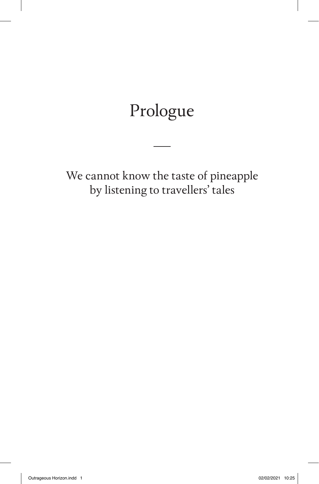# Prologue

We cannot know the taste of pineapple by listening to travellers' tales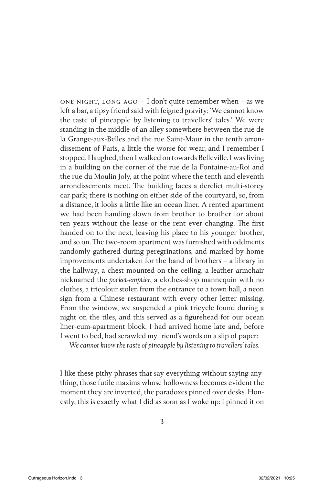One night, long ago – I don't quite remember when – as we left a bar, a tipsy friend said with feigned gravity: 'We cannot know the taste of pineapple by listening to travellers' tales.' We were standing in the middle of an alley somewhere between the rue de la Grange-aux-Belles and the rue Saint-Maur in the tenth arrondissement of Paris, a little the worse for wear, and I remember I stopped, I laughed, then I walked on towards Belleville. I was living in a building on the corner of the rue de la Fontaine-au-Roi and the rue du Moulin Joly, at the point where the tenth and eleventh arrondissements meet. The building faces a derelict multi-storey car park; there is nothing on either side of the courtyard, so, from a distance, it looks a little like an ocean liner. A rented apartment we had been handing down from brother to brother for about ten years without the lease or the rent ever changing. The first handed on to the next, leaving his place to his younger brother, and so on. The two-room apartment was furnished with oddments randomly gathered during peregrinations, and marked by home improvements undertaken for the band of brothers – a library in the hallway, a chest mounted on the ceiling, a leather armchair nicknamed the *pocket-emptier*, a clothes-shop mannequin with no clothes, a tricolour stolen from the entrance to a town hall, a neon sign from a Chinese restaurant with every other letter missing. From the window, we suspended a pink tricycle found during a night on the tiles, and this served as a figurehead for our ocean liner-cum-apartment block. I had arrived home late and, before I went to bed, had scrawled my friend's words on a slip of paper:

*We cannot know the taste of pineapple by listening to travellers' tales.*

I like these pithy phrases that say everything without saying anything, those futile maxims whose hollowness becomes evident the moment they are inverted, the paradoxes pinned over desks. Honestly, this is exactly what I did as soon as I woke up: I pinned it on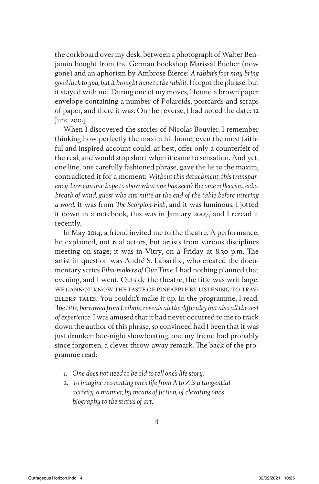the corkboard over my desk, between a photograph of Walter Benjamin bought from the German bookshop Marissal Bücher (now gone) and an aphorism by Ambrose Bierce: *A rabbit's foot may bring good luck to you, but it brought none to the rabbit.* I forgot the phrase, but it stayed with me. During one of my moves, I found a brown paper envelope containing a number of Polaroids, postcards and scraps of paper, and there it was. On the reverse, I had noted the date: 12 June 2004.

When I discovered the stories of Nicolas Bouvier, I remember thinking how perfectly the maxim hit home; even the most faithful and inspired account could, at best, offer only a counterfeit of the real, and would stop short when it came to sensation. And yet, one line, one carefully fashioned phrase, gave the lie to the maxim, contradicted it for a moment: *Without this detachment, this transparency, how can one hope to show what one has seen? Become reflection, echo, breath of wind, guest who sits mute at the end of the table before uttering a word*. It was from *The Scorpion-Fish*, and it was luminous. I jotted it down in a notebook, this was in January 2007, and I reread it recently.

In May 2014, a friend invited me to the theatre. A performance, he explained, not real actors, but artists from various disciplines meeting on stage; it was in Vitry, on a Friday at 8.30 p.m. The artist in question was André S. Labarthe, who created the documentary series *Film-makers of Our Time*. I had nothing planned that evening, and I went. Outside the theatre, the title was writ large: we cannot know the taste of pineapple by listening to travellers' tales*.* You couldn't make it up. In the programme, I read: *The title, borrowed from Leibniz, reveals all the difficulty but also all the zest of experience.* I was amused that it had never occurred to me to track down the author of this phrase, so convinced had I been that it was just drunken late-night showboating, one my friend had probably since forgotten, a clever throw-away remark. The back of the programme read:

- *1. One does not need to be old to tell one's life story.*
- *2. To imagine recounting one's life from A to Z is a tangential activity, a manner, by means of fiction, of elevating one's biography to the status of art.*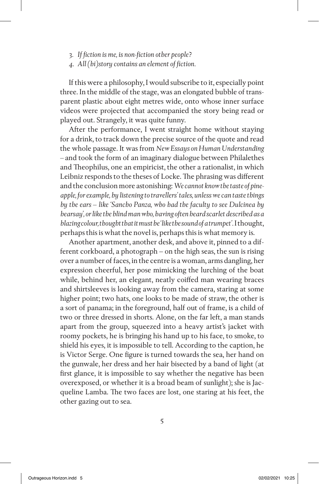- *3. If fiction is me, is non-fiction other people?*
- *4. All (hi)story contains an element of fiction.*

If this were a philosophy, I would subscribe to it, especially point three. In the middle of the stage, was an elongated bubble of transparent plastic about eight metres wide, onto whose inner surface videos were projected that accompanied the story being read or played out. Strangely, it was quite funny.

After the performance, I went straight home without staying for a drink, to track down the precise source of the quote and read the whole passage. It was from *New Essays on Human Understanding –* and took the form of an imaginary dialogue between Philalethes and Theophilus, one an empiricist, the other a rationalist, in which Leibniz responds to the theses of Locke. The phrasing was different and the conclusion more astonishing: *We cannot know the taste of pineapple, for example, by listening to travellers' tales, unless we can taste things by the ears – like 'Sancho Panza, who had the faculty to see Dulcinea by hearsay', or like the blind man who, having often heard scarlet described as a blazing colour, thought that it must be 'like the sound of a trumpet'.*I thought, perhaps this is what the novel is, perhaps this is what memory is.

Another apartment, another desk, and above it, pinned to a different corkboard, a photograph – on the high seas, the sun is rising over a number of faces, in the centre is a woman, arms dangling, her expression cheerful, her pose mimicking the lurching of the boat while, behind her, an elegant, neatly coiffed man wearing braces and shirtsleeves is looking away from the camera, staring at some higher point; two hats, one looks to be made of straw, the other is a sort of panama; in the foreground, half out of frame, is a child of two or three dressed in shorts. Alone, on the far left, a man stands apart from the group, squeezed into a heavy artist's jacket with roomy pockets, he is bringing his hand up to his face, to smoke, to shield his eyes, it is impossible to tell. According to the caption, he is Victor Serge. One figure is turned towards the sea, her hand on the gunwale, her dress and her hair bisected by a band of light (at first glance, it is impossible to say whether the negative has been overexposed, or whether it is a broad beam of sunlight); she is Jacqueline Lamba. The two faces are lost, one staring at his feet, the other gazing out to sea.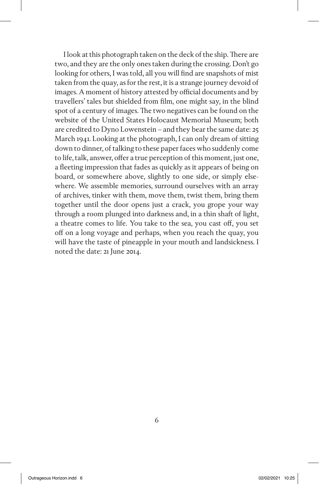I look at this photograph taken on the deck of the ship. There are two, and they are the only ones taken during the crossing. Don't go looking for others, I was told, all you will find are snapshots of mist taken from the quay, as for the rest, it is a strange journey devoid of images. A moment of history attested by official documents and by travellers' tales but shielded from film, one might say, in the blind spot of a century of images. The two negatives can be found on the website of the United States Holocaust Memorial Museum; both are credited to Dyno Lowenstein – and they bear the same date: 25 March 1941. Looking at the photograph, I can only dream of sitting down to dinner, of talking to these paper faces who suddenly come to life, talk, answer, offer a true perception of this moment, just one, a fleeting impression that fades as quickly as it appears of being on board, or somewhere above, slightly to one side, or simply elsewhere. We assemble memories, surround ourselves with an array of archives, tinker with them, move them, twist them, bring them together until the door opens just a crack, you grope your way through a room plunged into darkness and, in a thin shaft of light, a theatre comes to life. You take to the sea, you cast off, you set off on a long voyage and perhaps, when you reach the quay, you will have the taste of pineapple in your mouth and landsickness. I noted the date: 21 June 2014.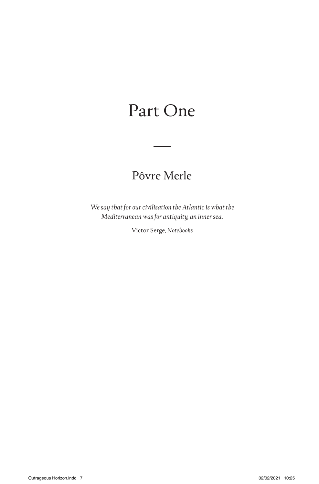## Part One

### Pôvre Merle

*We say that for our civilisation the Atlantic is what the Mediterranean was for antiquity, an inner sea.* 

Victor Serge*, Notebooks*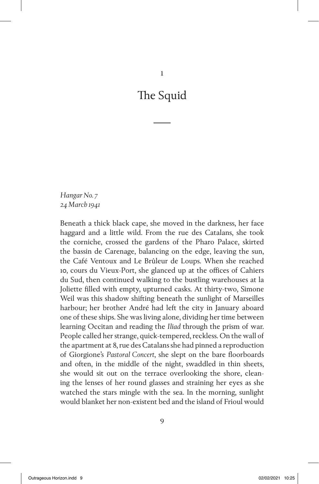1

#### The Squid

*Hangar No. 7 24 March 1941*

Beneath a thick black cape, she moved in the darkness, her face haggard and a little wild. From the rue des Catalans, she took the corniche, crossed the gardens of the Pharo Palace, skirted the bassin de Carenage, balancing on the edge, leaving the sun, the Café Ventoux and Le Brûleur de Loups. When she reached 10, cours du Vieux-Port, she glanced up at the offices of Cahiers du Sud, then continued walking to the bustling warehouses at la Joliette filled with empty, upturned casks. At thirty-two, Simone Weil was this shadow shifting beneath the sunlight of Marseilles harbour; her brother André had left the city in January aboard one of these ships. She was living alone, dividing her time between learning Occitan and reading the *Iliad* through the prism of war. People called her strange, quick-tempered, reckless. On the wall of the apartment at 8, rue des Catalans she had pinned a reproduction of Giorgione's *Pastoral Concert*, she slept on the bare floorboards and often, in the middle of the night, swaddled in thin sheets, she would sit out on the terrace overlooking the shore, cleaning the lenses of her round glasses and straining her eyes as she watched the stars mingle with the sea. In the morning, sunlight would blanket her non-existent bed and the island of Frioul would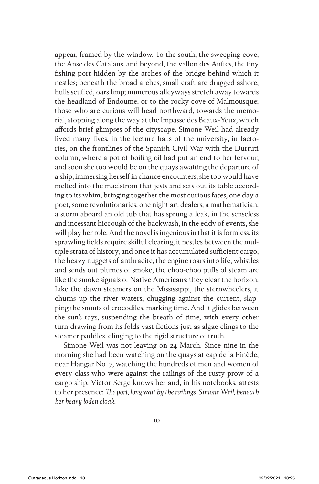appear, framed by the window. To the south, the sweeping cove, the Anse des Catalans, and beyond, the vallon des Auffes, the tiny fishing port hidden by the arches of the bridge behind which it nestles; beneath the broad arches, small craft are dragged ashore, hulls scuffed, oars limp; numerous alleyways stretch away towards the headland of Endoume, or to the rocky cove of Malmousque; those who are curious will head northward, towards the memorial, stopping along the way at the Impasse des Beaux-Yeux, which affords brief glimpses of the cityscape. Simone Weil had already lived many lives, in the lecture halls of the university, in factories, on the frontlines of the Spanish Civil War with the Durruti column, where a pot of boiling oil had put an end to her fervour, and soon she too would be on the quays awaiting the departure of a ship, immersing herself in chance encounters, she too would have melted into the maelstrom that jests and sets out its table according to its whim, bringing together the most curious fates, one day a poet, some revolutionaries, one night art dealers, a mathematician, a storm aboard an old tub that has sprung a leak, in the senseless and incessant hiccough of the backwash, in the eddy of events, she will play her role. And the novel is ingenious in that it is formless, its sprawling fields require skilful clearing, it nestles between the multiple strata of history, and once it has accumulated sufficient cargo, the heavy nuggets of anthracite, the engine roars into life, whistles and sends out plumes of smoke, the choo-choo puffs of steam are like the smoke signals of Native Americans: they clear the horizon. Like the dawn steamers on the Mississippi, the sternwheelers, it churns up the river waters, chugging against the current, slapping the snouts of crocodiles, marking time. And it glides between the sun's rays, suspending the breath of time, with every other turn drawing from its folds vast fictions just as algae clings to the steamer paddles, clinging to the rigid structure of truth.

Simone Weil was not leaving on 24 March. Since nine in the morning she had been watching on the quays at cap de la Pinède, near Hangar No. 7, watching the hundreds of men and women of every class who were against the railings of the rusty prow of a cargo ship. Victor Serge knows her and, in his notebooks, attests to her presence: *The port, long wait by the railings. Simone Weil, beneath her heavy loden cloak*.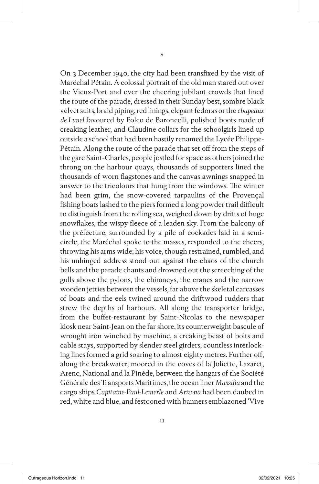On 3 December 1940, the city had been transfixed by the visit of Maréchal Pétain. A colossal portrait of the old man stared out over the Vieux-Port and over the cheering jubilant crowds that lined the route of the parade, dressed in their Sunday best, sombre black velvet suits, braid piping, red linings, elegant fedoras or the *chapeaux de Lunel* favoured by Folco de Baroncelli, polished boots made of creaking leather, and Claudine collars for the schoolgirls lined up outside a school that had been hastily renamed the Lycée Philippe-Pétain. Along the route of the parade that set off from the steps of the gare Saint-Charles, people jostled for space as others joined the throng on the harbour quays, thousands of supporters lined the thousands of worn flagstones and the canvas awnings snapped in answer to the tricolours that hung from the windows. The winter had been grim, the snow-covered tarpaulins of the Provençal fishing boats lashed to the piers formed a long powder trail difficult to distinguish from the roiling sea, weighed down by drifts of huge snowflakes, the wispy fleece of a leaden sky. From the balcony of the préfecture, surrounded by a pile of cockades laid in a semicircle, the Maréchal spoke to the masses, responded to the cheers, throwing his arms wide; his voice, though restrained, rumbled, and his unhinged address stood out against the chaos of the church bells and the parade chants and drowned out the screeching of the gulls above the pylons, the chimneys, the cranes and the narrow wooden jetties between the vessels, far above the skeletal carcasses of boats and the eels twined around the driftwood rudders that strew the depths of harbours. All along the transporter bridge, from the buffet-restaurant by Saint-Nicolas to the newspaper kiosk near Saint-Jean on the far shore, its counterweight bascule of wrought iron winched by machine, a creaking beast of bolts and cable stays, supported by slender steel girders, countless interlocking lines formed a grid soaring to almost eighty metres. Further off, along the breakwater, moored in the coves of la Joliette, Lazaret, Arenc, National and la Pinède, between the hangars of the Société Générale des Transports Maritimes, the ocean liner *Massilia* and the cargo ships *Capitaine-Paul-Lemerle* and *Arizona* had been daubed in red, white and blue, and festooned with banners emblazoned 'Vive

\*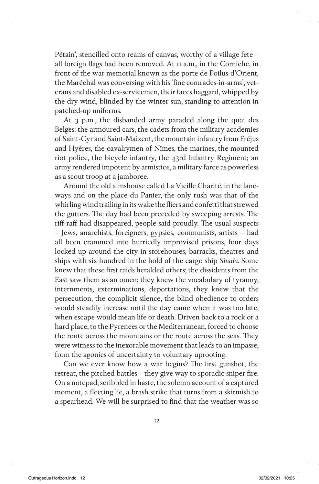Pétain', stencilled onto reams of canvas, worthy of a village fete – all foreign flags had been removed. At 11 a.m., in the Corniche, in front of the war memorial known as the porte de Poilus-d'Orient, the Maréchal was conversing with his 'fine comrades-in-arms', veterans and disabled ex-servicemen, their faces haggard, whipped by the dry wind, blinded by the winter sun, standing to attention in patched-up uniforms.

At 3 p.m., the disbanded army paraded along the quai des Belges: the armoured cars, the cadets from the military academies of Saint-Cyr and Saint-Maixent, the mountain infantry from Fréjus and Hyères, the cavalrymen of Nîmes, the marines, the mounted riot police, the bicycle infantry, the 43rd Infantry Regiment; an army rendered impotent by armistice, a military farce as powerless as a scout troop at a jamboree.

Around the old almshouse called La Vieille Charité, in the laneways and on the place du Panier, the only rush was that of the whirling wind trailing in its wake the fliers and confetti that strewed the gutters. The day had been preceded by sweeping arrests. The riff-raff had disappeared, people said proudly. The usual suspects – Jews, anarchists, foreigners, gypsies, communists, artists – had all been crammed into hurriedly improvised prisons, four days locked up around the city in storehouses, barracks, theatres and ships with six hundred in the hold of the cargo ship *Sinaïa*. Some knew that these first raids heralded others; the dissidents from the East saw them as an omen; they knew the vocabulary of tyranny, internments, exterminations, deportations, they knew that the persecution, the complicit silence, the blind obedience to orders would steadily increase until the day came when it was too late, when escape would mean life or death. Driven back to a rock or a hard place, to the Pyrenees or the Mediterranean, forced to choose the route across the mountains or the route across the seas. They were witness to the inexorable movement that leads to an impasse, from the agonies of uncertainty to voluntary uprooting.

Can we ever know how a war begins? The first gunshot, the retreat, the pitched battles – they give way to sporadic sniper fire. On a notepad, scribbled in haste, the solemn account of a captured moment, a fleeting lie, a brash strike that turns from a skirmish to a spearhead. We will be surprised to find that the weather was so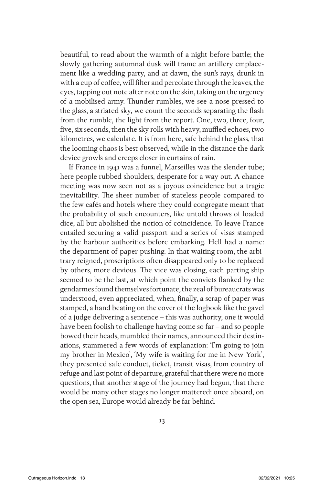beautiful, to read about the warmth of a night before battle; the slowly gathering autumnal dusk will frame an artillery emplacement like a wedding party, and at dawn, the sun's rays, drunk in with a cup of coffee, will filter and percolate through the leaves, the eyes, tapping out note after note on the skin, taking on the urgency of a mobilised army. Thunder rumbles, we see a nose pressed to the glass, a striated sky, we count the seconds separating the flash from the rumble, the light from the report. One, two, three, four, five, six seconds, then the sky rolls with heavy, muffled echoes, two kilometres, we calculate. It is from here, safe behind the glass, that the looming chaos is best observed, while in the distance the dark device growls and creeps closer in curtains of rain.

If France in 1941 was a funnel, Marseilles was the slender tube; here people rubbed shoulders, desperate for a way out. A chance meeting was now seen not as a joyous coincidence but a tragic inevitability. The sheer number of stateless people compared to the few cafés and hotels where they could congregate meant that the probability of such encounters, like untold throws of loaded dice, all but abolished the notion of coincidence. To leave France entailed securing a valid passport and a series of visas stamped by the harbour authorities before embarking. Hell had a name: the department of paper pushing. In that waiting room, the arbitrary reigned, proscriptions often disappeared only to be replaced by others, more devious. The vice was closing, each parting ship seemed to be the last, at which point the convicts flanked by the gendarmes found themselves fortunate, the zeal of bureaucrats was understood, even appreciated, when, finally, a scrap of paper was stamped, a hand beating on the cover of the logbook like the gavel of a judge delivering a sentence – this was authority, one it would have been foolish to challenge having come so far – and so people bowed their heads, mumbled their names, announced their destinations, stammered a few words of explanation: 'I'm going to join my brother in Mexico', 'My wife is waiting for me in New York', they presented safe conduct, ticket, transit visas, from country of refuge and last point of departure, grateful that there were no more questions, that another stage of the journey had begun, that there would be many other stages no longer mattered: once aboard, on the open sea, Europe would already be far behind.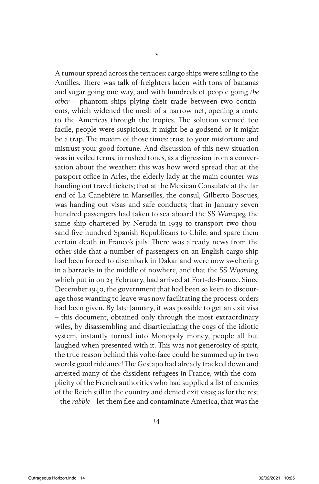A rumour spread across the terraces: cargo ships were sailing to the Antilles. There was talk of freighters laden with tons of bananas and sugar going one way, and with hundreds of people going *the other* – phantom ships plying their trade between two continents, which widened the mesh of a narrow net, opening a route to the Americas through the tropics. The solution seemed too facile, people were suspicious, it might be a godsend or it might be a trap. The maxim of those times: trust to your misfortune and mistrust your good fortune. And discussion of this new situation was in veiled terms, in rushed tones, as a digression from a conversation about the weather: this was how word spread that at the passport office in Arles, the elderly lady at the main counter was handing out travel tickets; that at the Mexican Consulate at the far end of La Canebière in Marseilles, the consul, Gilberto Bosques, was handing out visas and safe conducts; that in January seven hundred passengers had taken to sea aboard the SS *Winnipeg*, the same ship chartered by Neruda in 1939 to transport two thousand five hundred Spanish Republicans to Chile, and spare them certain death in Franco's jails. There was already news from the other side that a number of passengers on an English cargo ship had been forced to disembark in Dakar and were now sweltering in a barracks in the middle of nowhere, and that the SS *Wyoming*, which put in on 24 February, had arrived at Fort-de-France. Since December 1940, the government that had been so keen to discourage those wanting to leave was now facilitating the process; orders had been given. By late January, it was possible to get an exit visa – this document, obtained only through the most extraordinary wiles, by disassembling and disarticulating the cogs of the idiotic system, instantly turned into Monopoly money, people all but laughed when presented with it. This was not generosity of spirit, the true reason behind this volte-face could be summed up in two words: good riddance! The Gestapo had already tracked down and arrested many of the dissident refugees in France, with the complicity of the French authorities who had supplied a list of enemies of the Reich still in the country and denied exit visas; as for the rest – the *rabble* – let them flee and contaminate America, that was the

\*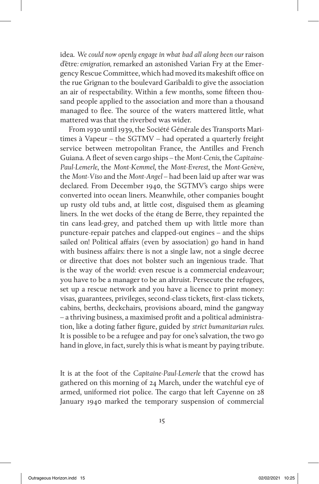idea. *We could now openly engage in what had all along been our* raison d'être*: emigration,* remarked an astonished Varian Fry at the Emergency Rescue Committee, which had moved its makeshift office on the rue Grignan to the boulevard Garibaldi to give the association an air of respectability. Within a few months, some fifteen thousand people applied to the association and more than a thousand managed to flee. The source of the waters mattered little, what mattered was that the riverbed was wider.

From 1930 until 1939, the Société Générale des Transports Maritimes à Vapeur – the SGTMV – had operated a quarterly freight service between metropolitan France, the Antilles and French Guiana. A fleet of seven cargo ships – the *Mont-Cenis*, the *Capitaine-Paul-Lemerle*, the *Mont-Kemmel*, the *Mont-Everest*, the *Mont-Genève*, the *Mont-Viso* and the *Mont-Angel* – had been laid up after war was declared. From December 1940, the SGTMV's cargo ships were converted into ocean liners. Meanwhile, other companies bought up rusty old tubs and, at little cost, disguised them as gleaming liners. In the wet docks of the étang de Berre, they repainted the tin cans lead-grey, and patched them up with little more than puncture-repair patches and clapped-out engines – and the ships sailed on! Political affairs (even by association) go hand in hand with business affairs: there is not a single law, not a single decree or directive that does not bolster such an ingenious trade. That is the way of the world: even rescue is a commercial endeavour; you have to be a manager to be an altruist. Persecute the refugees, set up a rescue network and you have a licence to print money: visas, guarantees, privileges, second-class tickets, first-class tickets, cabins, berths, deckchairs, provisions aboard, mind the gangway – a thriving business, a maximised profit and a political administration, like a doting father figure, guided by *strict humanitarian rules*. It is possible to be a refugee and pay for one's salvation, the two go hand in glove, in fact, surely this is what is meant by paying tribute.

It is at the foot of the *Capitaine-Paul-Lemerle* that the crowd has gathered on this morning of 24 March, under the watchful eye of armed, uniformed riot police. The cargo that left Cayenne on 28 January 1940 marked the temporary suspension of commercial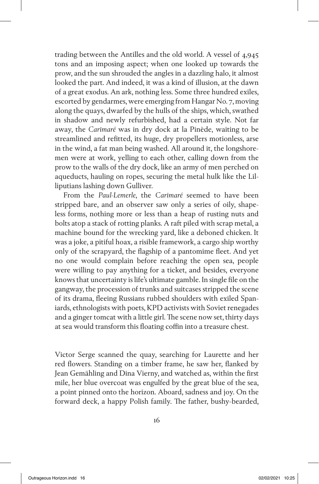trading between the Antilles and the old world. A vessel of 4,945 tons and an imposing aspect; when one looked up towards the prow, and the sun shrouded the angles in a dazzling halo, it almost looked the part. And indeed, it was a kind of illusion, at the dawn of a great exodus. An ark, nothing less. Some three hundred exiles, escorted by gendarmes, were emerging from Hangar No. 7, moving along the quays, dwarfed by the hulls of the ships, which, swathed in shadow and newly refurbished, had a certain style. Not far away, the *Carimaré* was in dry dock at la Pinède, waiting to be streamlined and refitted, its huge, dry propellers motionless, arse in the wind, a fat man being washed. All around it, the longshoremen were at work, yelling to each other, calling down from the prow to the walls of the dry dock, like an army of men perched on aqueducts, hauling on ropes, securing the metal hulk like the Lilliputians lashing down Gulliver.

From the *Paul-Lemerle*, the *Carimaré* seemed to have been stripped bare, and an observer saw only a series of oily, shapeless forms, nothing more or less than a heap of rusting nuts and bolts atop a stack of rotting planks. A raft piled with scrap metal, a machine bound for the wrecking yard, like a deboned chicken. It was a joke, a pitiful hoax, a risible framework, a cargo ship worthy only of the scrapyard, the flagship of a pantomime fleet. And yet no one would complain before reaching the open sea, people were willing to pay anything for a ticket, and besides, everyone knows that uncertainty is life's ultimate gamble. In single file on the gangway, the procession of trunks and suitcases stripped the scene of its drama, fleeing Russians rubbed shoulders with exiled Spaniards, ethnologists with poets, KPD activists with Soviet renegades and a ginger tomcat with a little girl. The scene now set, thirty days at sea would transform this floating coffin into a treasure chest.

Victor Serge scanned the quay, searching for Laurette and her red flowers. Standing on a timber frame, he saw her, flanked by Jean Gemähling and Dina Vierny, and watched as, within the first mile, her blue overcoat was engulfed by the great blue of the sea, a point pinned onto the horizon. Aboard, sadness and joy. On the forward deck, a happy Polish family. The father, bushy-bearded,